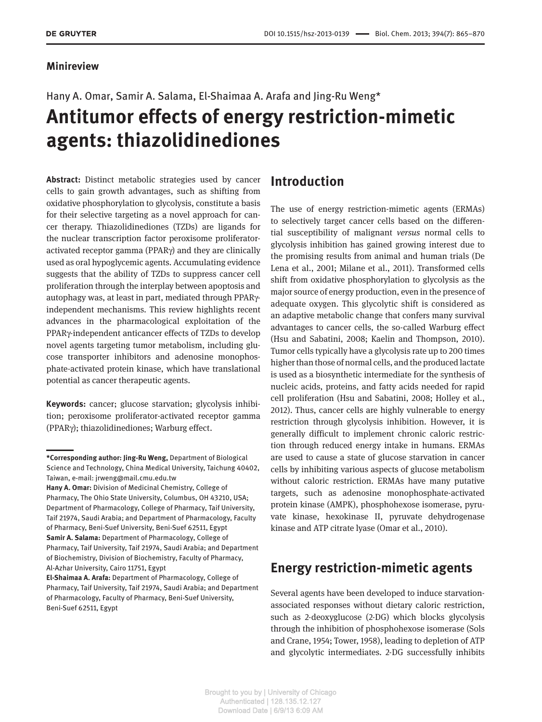#### **Minireview**

# Hany A. Omar, Samir A. Salama, El-Shaimaa A. Arafa and Jing-Ru Weng\*  **Antitumor effects of energy restriction-mimetic agents: thiazolidinediones**

**Abstract:** Distinct metabolic strategies used by cancer cells to gain growth advantages, such as shifting from oxidative phosphorylation to glycolysis, constitute a basis for their selective targeting as a novel approach for cancer therapy. Thiazolidinediones (TZDs) are ligands for the nuclear transcription factor peroxisome proliferatoractivated receptor gamma (PPAR $\gamma$ ) and they are clinically used as oral hypoglycemic agents. Accumulating evidence suggests that the ability of TZDs to suppress cancer cell proliferation through the interplay between apoptosis and autophagy was, at least in part, mediated through PPARγindependent mechanisms. This review highlights recent advances in the pharmacological exploitation of the PPARγ-independent anticancer effects of TZDs to develop novel agents targeting tumor metabolism, including glucose transporter inhibitors and adenosine monophosphate-activated protein kinase, which have translational potential as cancer therapeutic agents.

**Keywords:** cancer; glucose starvation; glycolysis inhibition; peroxisome proliferator-activated receptor gamma (PPARγ); thiazolidinediones; Warburg effect.

#### **Introduction**

 The use of energy restriction-mimetic agents (ERMAs) to selectively target cancer cells based on the differential susceptibility of malignant *versus* normal cells to glycolysis inhibition has gained growing interest due to the promising results from animal and human trials (De Lena et al., 2001; Milane et al., 2011). Transformed cells shift from oxidative phosphorylation to glycolysis as the major source of energy production, even in the presence of adequate oxygen. This glycolytic shift is considered as an adaptive metabolic change that confers many survival advantages to cancer cells, the so-called Warburg effect (Hsu and Sabatini, 2008; Kaelin and Thompson, 2010). Tumor cells typically have a glycolysis rate up to 200 times higher than those of normal cells, and the produced lactate is used as a biosynthetic intermediate for the synthesis of nucleic acids, proteins, and fatty acids needed for rapid cell proliferation (Hsu and Sabatini, 2008; Holley et al., 2012). Thus, cancer cells are highly vulnerable to energy restriction through glycolysis inhibition. However, it is generally difficult to implement chronic caloric restriction through reduced energy intake in humans. ERMAs are used to cause a state of glucose starvation in cancer cells by inhibiting various aspects of glucose metabolism without caloric restriction. ERMAs have many putative targets, such as adenosine monophosphate-activated protein kinase (AMPK), phosphohexose isomerase, pyruvate kinase, hexokinase II, pyruvate dehydrogenase kinase and ATP citrate lyase (Omar et al., 2010).

#### **Energy restriction-mimetic agents**

 Several agents have been developed to induce starvationassociated responses without dietary caloric restriction, such as 2-deoxyglucose (2-DG) which blocks glycolysis through the inhibition of phosphohexose isomerase (Sols and Crane, 1954; Tower, 1958), leading to depletion of ATP and glycolytic intermediates. 2-DG successfully inhibits

 **<sup>\*</sup>Corresponding author: Jing-Ru Weng,** Department of Biological Science and Technology, China Medical University, Taichung 40402, Taiwan, e-mail: jrweng@mail.cmu.edu.tw

**Hany A. Omar:** Division of Medicinal Chemistry, College of Pharmacy, The Ohio State University, Columbus, OH 43210, USA; Department of Pharmacology, College of Pharmacy, Taif University, Taif 21974, Saudi Arabia; and Department of Pharmacology, Faculty of Pharmacy, Beni-Suef University, Beni-Suef 62511, Egypt **Samir A. Salama:** Department of Pharmacology, College of Pharmacy, Taif University, Taif 21974, Saudi Arabia; and Department of Biochemistry, Division of Biochemistry, Faculty of Pharmacy, Al-Azhar University, Cairo 11751, Egypt

**El-Shaimaa A. Arafa:** Department of Pharmacology, College of Pharmacy, Taif University, Taif 21974, Saudi Arabia; and Department of Pharmacology, Faculty of Pharmacy, Beni-Suef University, Beni-Suef 62511, Egypt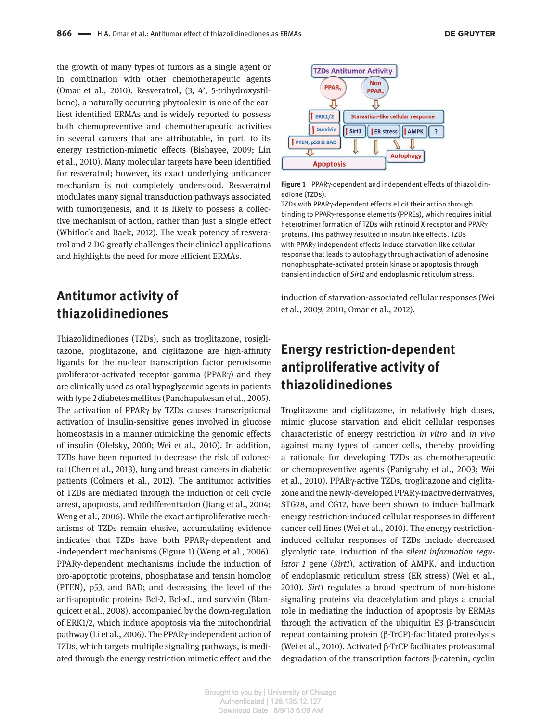the growth of many types of tumors as a single agent or in combination with other chemotherapeutic agents (Omar et al., 2010). Resveratrol, (3, 4', 5-trihydroxystilbene), a naturally occurring phytoalexin is one of the earliest identified ERMAs and is widely reported to possess both chemopreventive and chemotherapeutic activities in several cancers that are attributable, in part, to its energy restriction-mimetic effects (Bishayee, 2009; Lin et al., 2010). Many molecular targets have been identified for resveratrol; however, its exact underlying anticancer mechanism is not completely understood. Resveratrol modulates many signal transduction pathways associated with tumorigenesis, and it is likely to possess a collective mechanism of action, rather than just a single effect (Whitlock and Baek, 2012). The weak potency of resveratrol and 2-DG greatly challenges their clinical applications and highlights the need for more efficient ERMAs.

#### **Antitumor activity of thiazolidinediones**

 Thiazolidinediones (TZDs), such as troglitazone, rosiglitazone, pioglitazone, and ciglitazone are high-affinity ligands for the nuclear transcription factor peroxisome proliferator-activated receptor gamma (PPARγ) and they are clinically used as oral hypoglycemic agents in patients with type 2 diabetes mellitus (Panchapakesan et al., 2005). The activation of PPARγ by TZDs causes transcriptional activation of insulin-sensitive genes involved in glucose homeostasis in a manner mimicking the genomic effects of insulin (Olefsky, 2000; Wei et al., 2010). In addition, TZDs have been reported to decrease the risk of colorectal (Chen et al., 2013), lung and breast cancers in diabetic patients (Colmers et al., 2012). The antitumor activities of TZDs are mediated through the induction of cell cycle arrest, apoptosis, and redifferentiation (Jiang et al. , 2004 ; Weng et al., 2006). While the exact antiproliferative mechanisms of TZDs remain elusive, accumulating evidence indicates that TZDs have both PPARy-dependent and -independent mechanisms (Figure 1) (Weng et al., 2006). PPARγ-dependent mechanisms include the induction of pro-apoptotic proteins, phosphatase and tensin homolog (PTEN), p53, and BAD; and decreasing the level of the anti-apoptotic proteins Bcl-2, Bcl-xL, and survivin (Blanquicett et al., 2008), accompanied by the down-regulation of ERK1/2, which induce apoptosis via the mitochondrial pathway (Li et al., 2006). The PPARγ-independent action of TZDs, which targets multiple signaling pathways, is mediated through the energy restriction mimetic effect and the



**Figure 1** PPAR γ -dependent and independent effects of thiazolidinedione (TZDs).

TZDs with PPARγ-dependent effects elicit their action through binding to PPARγ-response elements (PPREs), which requires initial heterotrimer formation of TZDs with retinoid X receptor and PPAR γ proteins. This pathway resulted in insulin like effects. TZDs with PPARγ-independent effects induce starvation like cellular response that leads to autophagy through activation of adenosine monophosphate-activated protein kinase or apoptosis through transient induction of *Sirt1* and endoplasmic reticulum stress.

induction of starvation-associated cellular responses (Wei et al., 2009, 2010; Omar et al., 2012).

### **Energy restriction-dependent antiproliferative activity of thiazolidinediones**

 Troglitazone and ciglitazone, in relatively high doses, mimic glucose starvation and elicit cellular responses characteristic of energy restriction *in vitro* and *in vivo* against many types of cancer cells, thereby providing a rationale for developing TZDs as chemotherapeutic or chemopreventive agents (Panigrahy et al., 2003; Wei et al., 2010). PPARγ-active TZDs, troglitazone and ciglitazone and the newly-developed PPAR γ -inactive derivatives, STG28, and CG12, have been shown to induce hallmark energy restriction-induced cellular responses in different cancer cell lines (Wei et al., 2010). The energy restrictioninduced cellular responses of TZDs include decreased glycolytic rate, induction of the *silent information regulator 1* gene (*Sirt1*), activation of AMPK, and induction of endoplasmic reticulum stress (ER stress) (Wei et al. , 2010). *Sirt1* regulates a broad spectrum of non-histone signaling proteins via deacetylation and plays a crucial role in mediating the induction of apoptosis by ERMAs through the activation of the ubiquitin E3 β -transducin repeat containing protein (β-TrCP)-facilitated proteolysis (Wei et al. , 2010 ). Activated β -TrCP facilitates proteasomal degradation of the transcription factors β -catenin, cyclin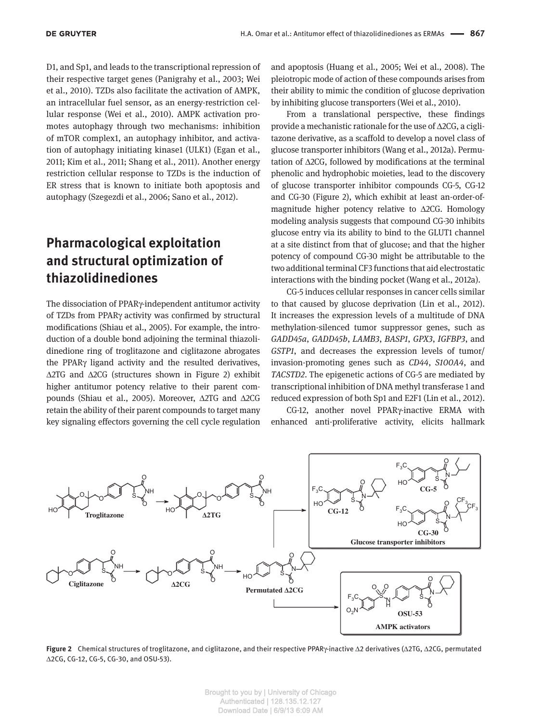D1, and Sp1, and leads to the transcriptional repression of their respective target genes (Panigrahy et al., 2003; Wei et al., 2010). TZDs also facilitate the activation of AMPK, an intracellular fuel sensor, as an energy-restriction cellular response (Wei et al., 2010). AMPK activation promotes autophagy through two mechanisms: inhibition of mTOR complex1, an autophagy inhibitor, and activation of autophagy initiating kinase1 (ULK1) (Egan et al., 2011; Kim et al., 2011; Shang et al., 2011). Another energy restriction cellular response to TZDs is the induction of ER stress that is known to initiate both apoptosis and autophagy (Szegezdi et al., 2006; Sano et al., 2012).

## **Pharmacological exploitation and structural optimization of thiazolidinediones**

The dissociation of PPARγ-independent antitumor activity of TZDs from PPARγ activity was confirmed by structural modifications (Shiau et al., 2005). For example, the introduction of a double bond adjoining the terminal thiazolidinedione ring of troglitazone and ciglitazone abrogates the PPARγ ligand activity and the resulted derivatives,  $\Delta$ 2TG and  $\Delta$ 2CG (structures shown in Figure 2) exhibit higher antitumor potency relative to their parent compounds (Shiau et al., 2005). Moreover, Δ2TG and Δ2CG retain the ability of their parent compounds to target many key signaling effectors governing the cell cycle regulation

and apoptosis (Huang et al., 2005; Wei et al., 2008). The pleiotropic mode of action of these compounds arises from their ability to mimic the condition of glucose deprivation by inhibiting glucose transporters (Wei et al., 2010).

 From a translational perspective, these findings provide a mechanistic rationale for the use of  $\Delta$ 2CG, a ciglitazone derivative, as a scaffold to develop a novel class of glucose transporter inhibitors (Wang et al., 2012a). Permutation of  $\Delta 2CG$ , followed by modifications at the terminal phenolic and hydrophobic moieties, lead to the discovery of glucose transporter inhibitor compounds CG-5, CG-12 and CG-30 (Figure 2), which exhibit at least an-order-ofmagnitude higher potency relative to  $\triangle$ 2CG. Homology modeling analysis suggests that compound CG-30 inhibits glucose entry via its ability to bind to the GLUT1 channel at a site distinct from that of glucose; and that the higher potency of compound CG-30 might be attributable to the two additional terminal CF3 functions that aid electrostatic interactions with the binding pocket (Wang et al., 2012a).

 CG-5 induces cellular responses in cancer cells similar to that caused by glucose deprivation (Lin et al., 2012). It increases the expression levels of a multitude of DNA methylation-silenced tumor suppressor genes, such as *GADD45a* , *GADD45b* , *LAMB3* , *BASP1* , *GPX3* , *IGFBP3* , and *GSTP1*, and decreases the expression levels of tumor/ invasion-promoting genes such as *CD44* , *S100A4* , and *TACSTD2* . The epigenetic actions of CG-5 are mediated by transcriptional inhibition of DNA methyl transferase 1 and reduced expression of both Sp1 and E2F1 (Lin et al., 2012).

CG-12, another novel PPARγ-inactive ERMA with enhanced anti-proliferative activity, elicits hallmark



**Figure 2** Chemical structures of troglitazone, and ciglitazone, and their respective PPAR γ-inactive Δ2 derivatives (Δ2TG, Δ2CG, permutated Δ 2CG, CG-12, CG-5, CG-30, and OSU-53).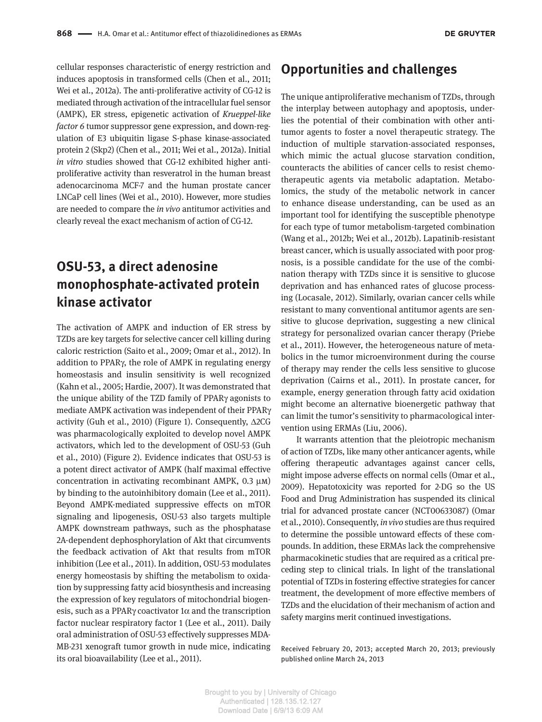cellular responses characteristic of energy restriction and induces apoptosis in transformed cells (Chen et al., 2011; Wei et al., 2012a). The anti-proliferative activity of CG-12 is mediated through activation of the intracellular fuel sensor (AMPK), ER stress, epigenetic activation of *Krueppel-like factor 6* tumor suppressor gene expression, and down-regulation of E3 ubiquitin ligase S-phase kinase-associated protein 2 (Skp2) (Chen et al., 2011; Wei et al., 2012a). Initial *in vitro* studies showed that CG-12 exhibited higher antiproliferative activity than resveratrol in the human breast adenocarcinoma MCF-7 and the human prostate cancer LNCaP cell lines (Wei et al., 2010). However, more studies are needed to compare the *in vivo* antitumor activities and clearly reveal the exact mechanism of action of CG-12.

## **OSU-53, a direct adenosine monophosphate-activated protein kinase activator**

 The activation of AMPK and induction of ER stress by TZDs are key targets for selective cancer cell killing during caloric restriction (Saito et al., 2009; Omar et al., 2012). In addition to PPARγ, the role of AMPK in regulating energy homeostasis and insulin sensitivity is well recognized (Kahn et al., 2005; Hardie, 2007). It was demonstrated that the unique ability of the TZD family of PPARγ agonists to mediate AMPK activation was independent of their PPARγ activity (Guh et al., 2010) (Figure 1). Consequently,  $\triangle$ 2CG was pharmacologically exploited to develop novel AMPK activators, which led to the development of OSU-53 (Guh et al. , 2010 ) (Figure 2). Evidence indicates that OSU-53 is a potent direct activator of AMPK (half maximal effective concentration in activating recombinant AMPK,  $0.3 \mu M$ ) by binding to the autoinhibitory domain (Lee et al., 2011). Beyond AMPK-mediated suppressive effects on mTOR signaling and lipogenesis, OSU-53 also targets multiple AMPK downstream pathways, such as the phosphatase 2A-dependent dephosphorylation of Akt that circumvents the feedback activation of Akt that results from mTOR inhibition (Lee et al., 2011). In addition, OSU-53 modulates energy homeostasis by shifting the metabolism to oxidation by suppressing fatty acid biosynthesis and increasing the expression of key regulators of mitochondrial biogenesis, such as a PPAR $\gamma$  coactivator 1 $\alpha$  and the transcription factor nuclear respiratory factor 1 (Lee et al., 2011). Daily oral administration of OSU-53 effectively suppresses MDA-MB-231 xenograft tumor growth in nude mice, indicating its oral bioavailability (Lee et al., 2011).

#### **Opportunities and challenges**

 The unique antiproliferative mechanism of TZDs, through the interplay between autophagy and apoptosis, underlies the potential of their combination with other antitumor agents to foster a novel therapeutic strategy. The induction of multiple starvation-associated responses, which mimic the actual glucose starvation condition, counteracts the abilities of cancer cells to resist chemotherapeutic agents via metabolic adaptation. Metabolomics, the study of the metabolic network in cancer to enhance disease understanding, can be used as an important tool for identifying the susceptible phenotype for each type of tumor metabolism-targeted combination (Wang et al., 2012b; Wei et al., 2012b). Lapatinib-resistant breast cancer, which is usually associated with poor prognosis, is a possible candidate for the use of the combination therapy with TZDs since it is sensitive to glucose deprivation and has enhanced rates of glucose processing (Locasale, 2012). Similarly, ovarian cancer cells while resistant to many conventional antitumor agents are sensitive to glucose deprivation, suggesting a new clinical strategy for personalized ovarian cancer therapy (Priebe et al., 2011). However, the heterogeneous nature of metabolics in the tumor microenvironment during the course of therapy may render the cells less sensitive to glucose deprivation (Cairns et al., 2011). In prostate cancer, for example, energy generation through fatty acid oxidation might become an alternative bioenergetic pathway that can limit the tumor's sensitivity to pharmacological intervention using ERMAs (Liu, 2006).

 It warrants attention that the pleiotropic mechanism of action of TZDs, like many other anticancer agents, while offering therapeutic advantages against cancer cells, might impose adverse effects on normal cells (Omar et al., 2009). Hepatotoxicity was reported for 2-DG so the US Food and Drug Administration has suspended its clinical trial for advanced prostate cancer (NCT00633087) (Omar et al., 2010). Consequently, *in vivo* studies are thus required to determine the possible untoward effects of these compounds. In addition, these ERMAs lack the comprehensive pharmacokinetic studies that are required as a critical preceding step to clinical trials. In light of the translational potential of TZDs in fostering effective strategies for cancer treatment, the development of more effective members of TZDs and the elucidation of their mechanism of action and safety margins merit continued investigations.

 Received February 20, 2013; accepted March 20, 2013; previously published online March 24, 2013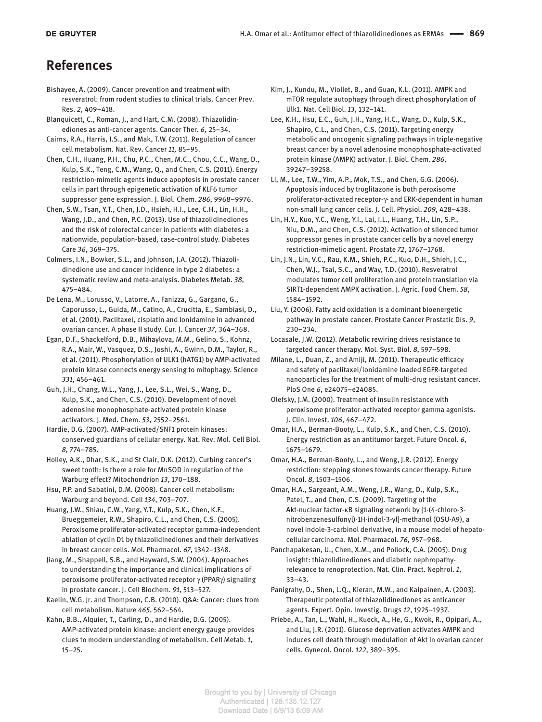#### **References**

- Bishayee, A. (2009). Cancer prevention and treatment with resveratrol: from rodent studies to clinical trials. Cancer Prev. Res. *2* , 409 – 418.
- Blanquicett, C., Roman, J., and Hart, C.M. (2008). Thiazolidinediones as anti-cancer agents. Cancer Ther. 6, 25-34.
- Cairns, R.A., Harris, I.S., and Mak, T.W. (2011). Regulation of cancer cell metabolism. Nat. Rev. Cancer *11,* 85 – 95.
- Chen, C.H., Huang, P.H., Chu, P.C., Chen, M.C., Chou, C.C., Wang, D., Kulp, S.K., Teng, C.M., Wang, Q., and Chen, C.S. (2011). Energy restriction-mimetic agents induce apoptosis in prostate cancer cells in part through epigenetic activation of KLF6 tumor suppressor gene expression. J. Biol. Chem. 286, 9968-9976.
- Chen, S.W., Tsan, Y.T., Chen, J.D., Hsieh, H.I., Lee, C.H., Lin, H.H., Wang, J.D., and Chen, P.C. (2013). Use of thiazolidinediones and the risk of colorectal cancer in patients with diabetes: a nationwide, population-based, case-control study. Diabetes Care 36, 369-375.
- Colmers, I.N., Bowker, S.L., and Johnson, J.A. (2012). Thiazolidinedione use and cancer incidence in type 2 diabetes: a systematic review and meta-analysis. Diabetes Metab. *38* , 475 – 484.
- De Lena, M., Lorusso, V., Latorre, A., Fanizza, G., Gargano, G., Caporusso, L., Guida, M., Catino, A., Crucitta, E., Sambiasi, D., et al. (2001). Paclitaxel, cisplatin and lonidamine in advanced ovarian cancer. A phase II study. Eur. J. Cancer *37* , 364 – 368.
- Egan, D.F., Shackelford, D.B., Mihaylova, M.M., Gelino, S., Kohnz, R.A., Mair, W., Vasquez, D.S., Joshi, A., Gwinn, D.M., Taylor, R., et al. (2011). Phosphorylation of ULK1 (hATG1) by AMP-activated protein kinase connects energy sensing to mitophagy. Science *331* , 456 – 461.
- Guh, J.H., Chang, W.L., Yang, J., Lee, S.L., Wei, S., Wang, D., Kulp, S.K., and Chen, C.S. (2010). Development of novel adenosine monophosphate-activated protein kinase activators. J. Med. Chem. *53* , 2552 – 2561.
- Hardie, D.G. (2007). AMP-activated/SNF1 protein kinases: conserved guardians of cellular energy. Nat. Rev. Mol. Cell Biol. *8* , 774 – 785.
- Holley, A.K., Dhar, S.K., and St Clair, D.K. (2012). Curbing cancer's sweet tooth: Is there a role for MnSOD in regulation of the Warburg effect? Mitochondrion 13, 170-188.
- Hsu, P.P. and Sabatini, D.M. (2008). Cancer cell metabolism: Warburg and beyond. Cell *134* , 703 – 707.
- Huang, J.W., Shiau, C.W., Yang, Y.T., Kulp, S.K., Chen, K.F., Brueggemeier, R.W., Shapiro, C.L., and Chen, C.S. (2005). Peroxisome proliferator-activated receptor gamma-independent ablation of cyclin D1 by thiazolidinediones and their derivatives in breast cancer cells. Mol. Pharmacol. 67, 1342-1348.
- Jiang, M., Shappell, S.B., and Hayward, S.W. (2004). Approaches to understanding the importance and clinical implications of peroxisome proliferator-activated receptor γ (PPARγ) signaling in prostate cancer. J. Cell Biochem. *91* , 513 – 527.
- Kaelin, W.G. Jr. and Thompson, C.B. (2010). Q&A: Cancer: clues from cell metabolism. Nature *465* , 562 – 564.
- Kahn, B.B., Alquier, T., Carling, D., and Hardie, D.G. (2005). AMP-activated protein kinase: ancient energy gauge provides clues to modern understanding of metabolism. Cell Metab. *1* ,  $15 - 25.$
- Kim, J., Kundu, M., Viollet, B., and Guan, K.L. (2011). AMPK and mTOR regulate autophagy through direct phosphorylation of Ulk1. Nat. Cell Biol. *13* , 132 – 141.
- Lee, K.H., Hsu, E.C., Guh, J.H., Yang, H.C., Wang, D., Kulp, S.K., Shapiro, C.L., and Chen, C.S. (2011). Targeting energy metabolic and oncogenic signaling pathways in triple-negative breast cancer by a novel adenosine monophosphate-activated protein kinase (AMPK) activator. J. Biol. Chem. *286* , 39247 – 39258.
- Li, M., Lee, T.W., Yim, A.P., Mok, T.S., and Chen, G.G. (2006). Apoptosis induced by troglitazone is both peroxisome proliferator-activated receptor-γ- and ERK-dependent in human non-small lung cancer cells. J. Cell. Physiol. *209* , 428 – 438.
- Lin, H.Y., Kuo, Y.C., Weng, Y.I., Lai, I.L., Huang, T.H., Lin, S.P., Niu, D.M., and Chen, C.S. (2012). Activation of silenced tumor suppressor genes in prostate cancer cells by a novel energy restriction-mimetic agent. Prostate *72* , 1767 – 1768.
- Lin, J.N., Lin, V.C., Rau, K.M., Shieh, P.C., Kuo, D.H., Shieh, J.C., Chen, W.J., Tsai, S.C., and Way, T.D. (2010). Resveratrol modulates tumor cell proliferation and protein translation via SIRT1-dependent AMPK activation. J. Agric. Food Chem. *58* , 1584 – 1592.
- Liu, Y. (2006). Fatty acid oxidation is a dominant bioenergetic pathway in prostate cancer. Prostate Cancer Prostatic Dis. *9* ,  $230 - 234.$
- Locasale, J.W. (2012). Metabolic rewiring drives resistance to targeted cancer therapy. Mol. Syst. Biol. 8, 597-598.
- Milane, L., Duan, Z., and Amiji, M. (2011). Therapeutic efficacy and safety of paclitaxel/lonidamine loaded EGFR-targeted nanoparticles for the treatment of multi-drug resistant cancer. PloS One 6, e24075-e24085.
- Olefsky, J.M. (2000). Treatment of insulin resistance with peroxisome proliferator-activated receptor gamma agonists. J. Clin. Invest. *106* , 467 – 472.
- Omar, H.A., Berman-Booty, L., Kulp, S.K., and Chen, C.S. (2010). Energy restriction as an antitumor target. Future Oncol. *6* , 1675 – 1679.
- Omar, H.A., Berman-Booty, L., and Weng, J.R. (2012). Energy restriction: stepping stones towards cancer therapy. Future Oncol. *8* , 1503 – 1506.
- Omar, H.A., Sargeant, A.M., Weng, J.R., Wang, D., Kulp, S.K., Patel, T., and Chen, C.S. (2009). Targeting of the Akt-nuclear factor- κB signaling network by [1-(4-chloro-3nitrobenzenesulfonyl)-1H-indol-3-yl]-methanol (OSU-A9), a novel indole-3-carbinol derivative, in a mouse model of hepatocellular carcinoma. Mol. Pharmacol. *76* , 957 – 968.
- Panchapakesan, U., Chen, X.M., and Pollock, C.A. (2005). Drug insight: thiazolidinediones and diabetic nephropathyrelevance to renoprotection. Nat. Clin. Pract. Nephrol. *1* ,  $33 - 43.$
- Panigrahy, D., Shen, L.Q., Kieran, M.W., and Kaipainen, A. (2003). Therapeutic potential of thiazolidinediones as anticancer agents. Expert. Opin. Investig. Drugs *12* , 1925 – 1937.
- Priebe, A., Tan, L., Wahl, H., Kueck, A., He, G., Kwok, R., Opipari, A., and Liu, J.R. (2011). Glucose deprivation activates AMPK and induces cell death through modulation of Akt in ovarian cancer cells. Gynecol. Oncol. *122* , 389 – 395.